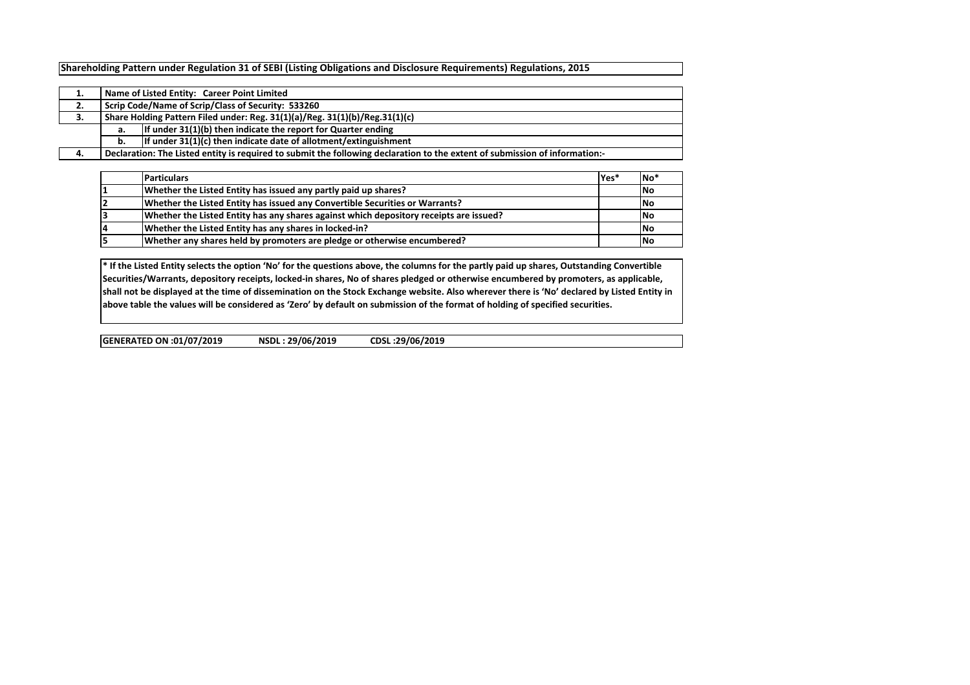Shareholding Pattern under Regulation 31 of SEBI (Listing Obligations and Disclosure Requirements) Regulations, 2015

| π.  |                                                                             | Name of Listed Entity: Career Point Limited                                                                                 |  |  |  |  |  |  |  |  |  |
|-----|-----------------------------------------------------------------------------|-----------------------------------------------------------------------------------------------------------------------------|--|--|--|--|--|--|--|--|--|
| 2.  | Scrip Code/Name of Scrip/Class of Security: 533260                          |                                                                                                                             |  |  |  |  |  |  |  |  |  |
| з.  | Share Holding Pattern Filed under: Reg. 31(1)(a)/Reg. 31(1)(b)/Reg.31(1)(c) |                                                                                                                             |  |  |  |  |  |  |  |  |  |
|     | If under 31(1)(b) then indicate the report for Quarter ending<br>a.         |                                                                                                                             |  |  |  |  |  |  |  |  |  |
|     | If under 31(1)(c) then indicate date of allotment/extinguishment<br>b.      |                                                                                                                             |  |  |  |  |  |  |  |  |  |
| -4. |                                                                             | Declaration: The Listed entity is required to submit the following declaration to the extent of submission of information:- |  |  |  |  |  |  |  |  |  |

| <b>Particulars</b>                                                                     | lYes* | No <sup>*</sup> |
|----------------------------------------------------------------------------------------|-------|-----------------|
| Whether the Listed Entity has issued any partly paid up shares?                        |       | <b>No</b>       |
| Whether the Listed Entity has issued any Convertible Securities or Warrants?           |       | <b>No</b>       |
| Whether the Listed Entity has any shares against which depository receipts are issued? |       | lNo             |
| Whether the Listed Entity has any shares in locked-in?                                 |       | lNo             |
| Whether any shares held by promoters are pledge or otherwise encumbered?               |       | <b>No</b>       |

\* If the Listed Entity selects the option 'No' for the questions above, the columns for the partly paid up shares, Outstanding Convertible Securities/Warrants, depository receipts, locked-in shares, No of shares pledged or otherwise encumbered by promoters, as applicable, shall not be displayed at the time of dissemination on the Stock Exchange website. Also wherever there is 'No' declared by Listed Entity in above table the values will be considered as 'Zero' by default on submission of the format of holding of specified securities.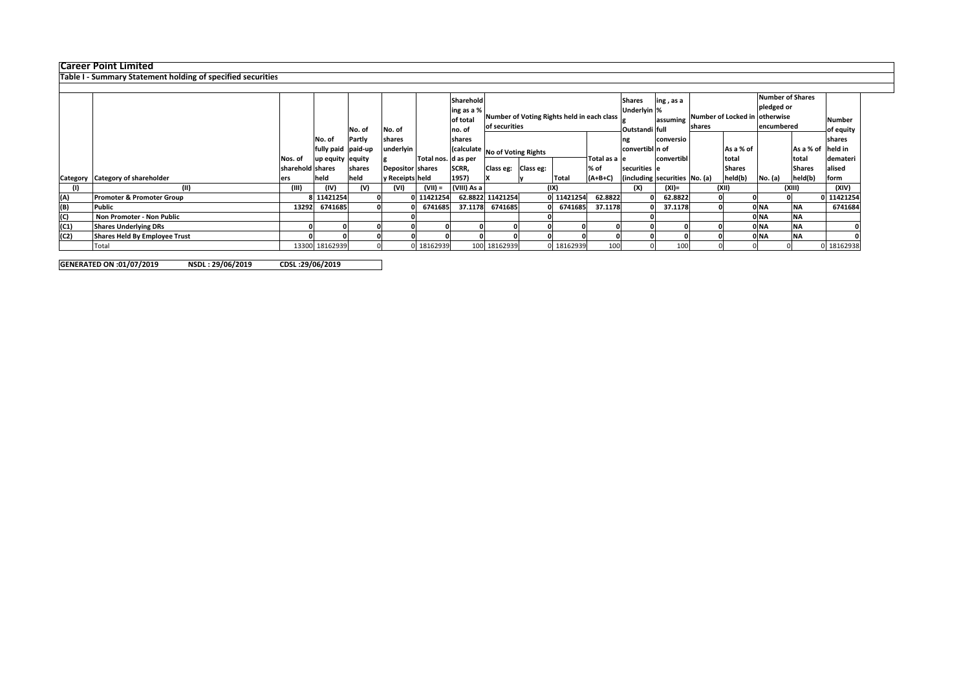## Career Point Limited

## Table I - Summary Statement holding of specified securities

|      |                                      |                  |                    |        |                         |                     | Sharehold<br>ling as a % |                                                             |           |            | <b>Shares</b><br>Underlyin % | ing, as a      |                               |                                                   | <b>Number of Shares</b><br>pledged or |                   |               |                            |
|------|--------------------------------------|------------------|--------------------|--------|-------------------------|---------------------|--------------------------|-------------------------------------------------------------|-----------|------------|------------------------------|----------------|-------------------------------|---------------------------------------------------|---------------------------------------|-------------------|---------------|----------------------------|
|      |                                      |                  |                    | No. of | No. of                  |                     | of total<br>no. of       | Number of Voting Rights held in each class<br>of securities |           |            |                              | Outstandi full |                               | lassuming Number of Locked in otherwise<br>shares |                                       | encumbered        |               | <b>Number</b><br>of equity |
|      |                                      |                  | No. of             | Partly | shares                  |                     | shares                   |                                                             |           |            |                              | conversio      |                               |                                                   |                                       |                   | shares        |                            |
|      |                                      |                  | fully paid paid-up |        | underlyin               |                     |                          | (calculate No of Voting Rights                              |           |            | convertibl n of              |                |                               | As a % of                                         |                                       | As a % of held in |               |                            |
|      |                                      | Nos. of          | up equity equity   |        |                         | Total nos. d as per |                          |                                                             |           |            | Total as a le                |                | convertibl                    |                                                   | total                                 |                   | total         | demateri                   |
|      |                                      | sharehold shares |                    | shares | <b>Depositor shares</b> |                     | SCRR,                    | Class eg:                                                   | Class eg: |            | $%$ of                       | securities e   |                               |                                                   | <b>Shares</b>                         |                   | <b>Shares</b> | alised                     |
|      | Category Category of shareholder     | ers              | held               | held   | y Receipts held         |                     | 1957)                    |                                                             |           | Total      | $(A+B+C)$                    |                | (including securities No. (a) |                                                   | held(b)                               | No. (a)           | held(b)       | form                       |
|      | (II)                                 | (III)            | (IV)               | (V)    | (VI)                    | $(VII) =$           | (VIII) As a              |                                                             | (IX)      |            |                              | (X)            | $(XI) =$                      |                                                   | (XII)                                 |                   | (XIII)        | (XIV)                      |
| (A)  | Promoter & Promoter Group            |                  | 8 11421254         |        |                         | 0 11421254          |                          | 62.8822 11421254                                            |           | 0 11421254 | 62.8822                      | 01             | 62.8822                       |                                                   |                                       |                   |               | 0 11421254                 |
| (B)  | Public                               | 13292            | 6741685            |        |                         | 6741685             | 37.1178                  | 6741685                                                     |           | 0 6741685  | 37.1178                      |                | 37.1178                       |                                                   |                                       | 0 NA              | <b>NA</b>     | 6741684                    |
| (C)  | Non Promoter - Non Public            |                  |                    |        |                         |                     |                          |                                                             |           |            |                              |                |                               |                                                   |                                       | OINA              | <b>NA</b>     |                            |
| (C1) | <b>Shares Underlying DRs</b>         |                  |                    |        |                         |                     |                          |                                                             |           |            |                              |                |                               |                                                   |                                       | 0 NA              | ΝA            |                            |
| (C2) | <b>Shares Held By Employee Trust</b> |                  |                    |        |                         |                     |                          |                                                             |           |            |                              |                |                               |                                                   |                                       | 0 NA              | <b>NA</b>     |                            |
|      | Total                                |                  | 13300 18162939     |        |                         | 0 18162939          |                          | 100 18162939                                                |           | 0 18162939 |                              |                | 100                           |                                                   |                                       |                   |               | 0 18162938                 |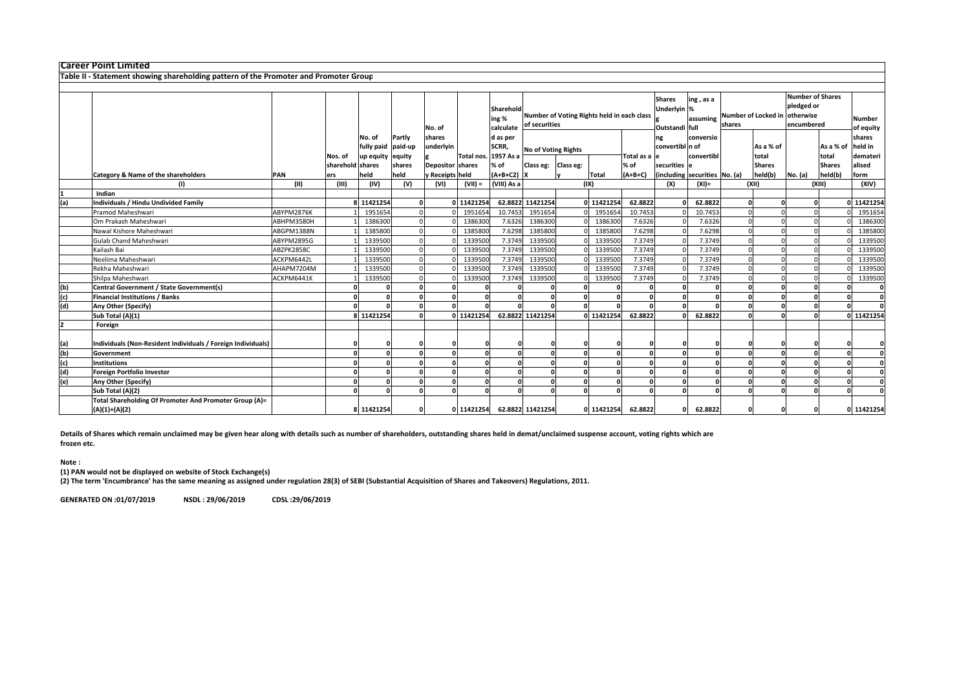|     | <b>Career Point Limited</b>                                                          |            |                  |                                   |                             |                         |            |                                 |                                                             |  |               |                 |                               |                                                        |                    |               |                                                                                      |                               |                     |
|-----|--------------------------------------------------------------------------------------|------------|------------------|-----------------------------------|-----------------------------|-------------------------|------------|---------------------------------|-------------------------------------------------------------|--|---------------|-----------------|-------------------------------|--------------------------------------------------------|--------------------|---------------|--------------------------------------------------------------------------------------|-------------------------------|---------------------|
|     | Table II - Statement showing shareholding pattern of the Promoter and Promoter Group |            |                  |                                   |                             |                         |            |                                 |                                                             |  |               |                 |                               |                                                        |                    |               |                                                                                      |                               |                     |
|     |                                                                                      |            |                  |                                   |                             |                         |            |                                 |                                                             |  |               |                 |                               |                                                        |                    |               |                                                                                      |                               |                     |
|     |                                                                                      |            |                  |                                   |                             | No. of                  |            | Sharehold<br>ing %<br>calculate | Number of Voting Rights held in each class<br>of securities |  |               |                 |                               | ing, as a<br>Underlyin %<br>assuming<br>Outstandi full | shares             |               | <b>Number of Shares</b><br>pledged or<br>Number of Locked in otherwise<br>encumbered |                               | Number<br>of equity |
|     |                                                                                      |            | Nos. of          | No. of<br>fully paid<br>up equity | Partly<br>paid-up<br>equity | shares<br>underlyin     | Total nos. | d as per<br>SCRR,<br>1957 As a  | <b>No of Voting Rights</b>                                  |  | Total as a le | convertibl n of | conversio<br>convertibl       |                                                        | As a % of<br>total |               | As a % of<br>total                                                                   | shares<br>held in<br>demateri |                     |
|     |                                                                                      |            | sharehold shares |                                   | shares                      | <b>Depositor</b> shares |            | % of                            | Class eg: Class eg:                                         |  |               | % of            | securities le                 |                                                        |                    | <b>Shares</b> |                                                                                      | <b>Shares</b>                 | alised              |
|     | Category & Name of the shareholders                                                  | PAN        | ers              | held                              | held                        | y Receipts held         |            | $(A+B+C2)$ X                    |                                                             |  | <b>Total</b>  | $(A+B+C)$       | (including securities No. (a) |                                                        |                    | held(b)       | No. (a)                                                                              | held(b)                       | form                |
|     | (1)<br>Indian                                                                        | (II)       | (III)            | (IV)                              | (V)                         | (VI)                    | $(VII) =$  | (VIII) As a                     |                                                             |  | (IX)          |                 | (X)                           | $(XI) =$                                               |                    | (X  )         |                                                                                      | (X  )                         | (XIV)               |
| (a) | Individuals / Hindu Undivided Family                                                 |            |                  | 8 11421254                        |                             |                         | 0 11421254 | 62.8822                         | 11421254                                                    |  | 0 11421254    | 62.8822         |                               | 62.8822                                                |                    |               | n                                                                                    |                               | 11421254            |
|     | Pramod Maheshwari                                                                    | ABYPM2876K |                  | 1951654                           |                             |                         | 1951654    | 10.7453                         | 1951654                                                     |  | 1951654       | 10.7453         |                               | 10.7453                                                |                    |               |                                                                                      |                               | 1951654             |
|     | Om Prakash Maheshwari                                                                | ABHPM3580H |                  | 1386300                           |                             |                         | 1386300    | 7.6326                          | 1386300                                                     |  | 1386300       | 7.6326          |                               | 7.6326                                                 |                    |               |                                                                                      |                               | 1386300             |
|     | Nawal Kishore Maheshwari                                                             | ABGPM1388N |                  | 1385800                           |                             |                         | 1385800    | 7.6298                          | 1385800                                                     |  | 1385800       | 7.6298          |                               | 7.6298                                                 |                    |               |                                                                                      |                               | 1385800             |
|     | <b>Gulab Chand Maheshwari</b>                                                        | ABYPM2895G |                  | 1339500                           |                             |                         | 1339500    | 7.3749                          | 1339500                                                     |  | 1339500       | 7.3749          |                               | 7.3749                                                 |                    |               |                                                                                      |                               | 1339500             |
|     | Kailash Bai                                                                          | ABZPK2858C |                  | 1339500                           |                             |                         | 1339500    | 7.3749                          | 1339500                                                     |  | 1339500       | 7.3749          |                               | 7.3749                                                 |                    |               |                                                                                      |                               | 1339500             |
|     | Neelima Maheshwari                                                                   | ACKPM6442L |                  | 1339500                           |                             |                         | 1339500    | 7.3749                          | 1339500                                                     |  | 1339500       | 7.3749          |                               | 7.3749                                                 |                    |               |                                                                                      |                               | 1339500             |
|     | Rekha Maheshwari                                                                     | AHAPM7204M |                  | 1339500                           |                             |                         | 1339500    | 7.3749                          | 1339500                                                     |  | 1339500       | 7.3749          |                               | 7.3749                                                 |                    |               |                                                                                      |                               | 1339500             |
|     | Shilpa Maheshwari                                                                    | ACKPM6441K |                  | 1339500                           |                             |                         | 1339500    | 7.3749                          | 1339500                                                     |  | 1339500       | 7.3749          |                               | 7.3749                                                 |                    |               |                                                                                      |                               | 1339500             |
| (b) | Central Government / State Government(s)                                             |            |                  |                                   |                             |                         |            |                                 |                                                             |  |               |                 |                               |                                                        | $\Omega$           |               |                                                                                      |                               |                     |
| (c) | <b>Financial Institutions / Banks</b>                                                |            |                  |                                   |                             |                         |            |                                 |                                                             |  |               | $\Omega$        | $\Omega$                      |                                                        | $\Omega$           |               |                                                                                      |                               |                     |
| (d) | Any Other (Specify)                                                                  |            |                  |                                   |                             |                         |            |                                 |                                                             |  |               |                 |                               |                                                        | $\Omega$           |               | O                                                                                    |                               |                     |
|     | Sub Total (A)(1)                                                                     |            |                  | 8 11421254                        |                             |                         | 0 11421254 |                                 | 62.8822 11421254                                            |  | 0 11421254    | 62.8822         |                               | 62.8822                                                |                    |               | $\Omega$                                                                             |                               | 0 11421254          |
| 2   | Foreign                                                                              |            |                  |                                   |                             |                         |            |                                 |                                                             |  |               |                 |                               |                                                        |                    |               |                                                                                      |                               |                     |
| (a) | Individuals (Non-Resident Individuals / Foreign Individuals)                         |            |                  |                                   |                             |                         |            |                                 |                                                             |  |               |                 |                               |                                                        |                    |               |                                                                                      |                               |                     |
| (b) | Government                                                                           |            |                  |                                   |                             |                         |            |                                 | r                                                           |  | $\Omega$      | $\Omega$        | $\Omega$                      |                                                        | $\Omega$           | $\sqrt{2}$    | $\Omega$                                                                             |                               | $\mathbf{0}$        |
| (c) | <b>Institutions</b>                                                                  |            |                  |                                   |                             |                         |            |                                 |                                                             |  | C             |                 | $\Omega$                      |                                                        | $\Omega$           |               | $\Omega$                                                                             |                               | 0                   |
| (d) | Foreign Portfolio Investor                                                           |            |                  |                                   |                             |                         |            |                                 |                                                             |  | n             |                 | $\Omega$                      |                                                        | $\Omega$           |               | $\Omega$                                                                             |                               | $\mathbf{0}$        |
| (e) | Any Other (Specify)                                                                  |            |                  |                                   |                             |                         |            |                                 | c                                                           |  | $\sqrt{2}$    | $\Omega$        | $\Omega$                      |                                                        | $\Omega$           |               | $\Omega$                                                                             | n                             | $\mathbf 0$         |
|     | Sub Total (A)(2)                                                                     |            |                  |                                   |                             |                         |            |                                 |                                                             |  | n             | $\Omega$        | $\Omega$                      |                                                        | $\Omega$           |               | $\Omega$                                                                             |                               | $\Omega$            |
|     | Total Shareholding Of Promoter And Promoter Group (A)=<br>$(A)(1)+(A)(2)$            |            |                  | 8 11421254                        |                             |                         | 0 11421254 |                                 | 62.8822 11421254                                            |  | 0 11421254    | 62.8822         | $\Omega$                      | 62.8822                                                |                    |               |                                                                                      |                               | 0 11421254          |

Details of Shares which remain unclaimed may be given hear along with details such as number of shareholders, outstanding shares held in demat/unclaimed suspense account, voting rights which are frozen etc.

## Note :

(1) PAN would not be displayed on website of Stock Exchange(s)

(2) The term 'Encumbrance' has the same meaning as assigned under regulation 28(3) of SEBI (Substantial Acquisition of Shares and Takeovers) Regulations, 2011.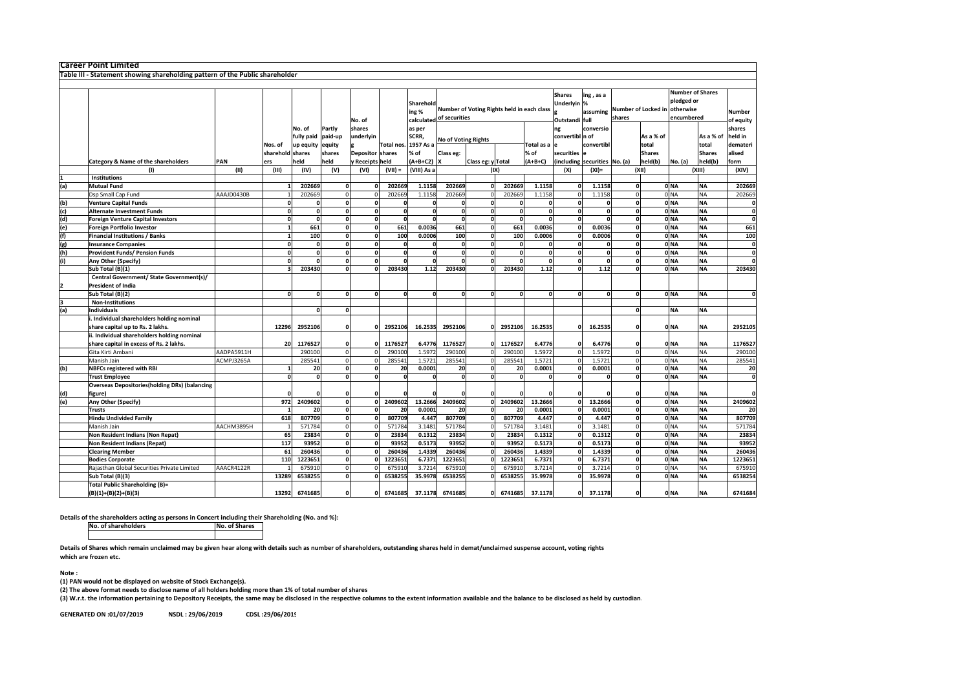|                         | Career Point Limited                                                         |            |                  |                                   |                             |                         |              |                              |                          |                   |                                            |              |                                                |                        |                               |                    |                                                                  |                        |                               |
|-------------------------|------------------------------------------------------------------------------|------------|------------------|-----------------------------------|-----------------------------|-------------------------|--------------|------------------------------|--------------------------|-------------------|--------------------------------------------|--------------|------------------------------------------------|------------------------|-------------------------------|--------------------|------------------------------------------------------------------|------------------------|-------------------------------|
|                         | Table III - Statement showing shareholding pattern of the Public shareholder |            |                  |                                   |                             |                         |              |                              |                          |                   |                                            |              |                                                |                        |                               |                    |                                                                  |                        |                               |
|                         |                                                                              |            |                  |                                   |                             |                         |              |                              |                          |                   |                                            |              |                                                |                        |                               |                    |                                                                  |                        |                               |
|                         |                                                                              |            |                  |                                   |                             | No. of                  |              | Sharehold<br>ing%            | calculated of securities |                   | Number of Voting Rights held in each class |              | <b>Shares</b><br>Underlyin %<br>Outstandi full | ing, as a<br>assuming  | Number of Locked in<br>shares |                    | <b>Number of Shares</b><br>pledged or<br>otherwise<br>encumbered |                        | Number<br>of equity           |
|                         |                                                                              |            | Nos. of          | No. of<br>fully paid<br>up equity | Partly<br>paid-up<br>equity | shares<br>underlyin     | Total nos.   | as per<br>SCRR,<br>1957 As a | No of Voting Rights      |                   |                                            | Total as a   | ng<br>convertibl n of                          | conversio<br>convertib |                               | As a % of<br>total |                                                                  | As a % of<br>total     | shares<br>held in<br>demateri |
|                         |                                                                              |            | sharehold shares |                                   | shares                      | <b>Depositor shares</b> |              | % of                         | Class eg:                |                   |                                            | % of         | securities                                     |                        |                               | <b>Shares</b>      |                                                                  | <b>Shares</b>          | alised                        |
|                         | Category & Name of the shareholders                                          | PAN        | ers              | held                              | held                        | y Receipts held         |              | (A+B+C2)<br>(VIII) As a      | x                        | Class eg: y Total |                                            | $(A+B+C)$    | (including                                     | securities No. (a)     |                               | held(b)            | No. (a)                                                          | held(b)                | form                          |
|                         | (1)<br><b>Institutions</b>                                                   | (II)       | (III)            | (IV)                              | (V)                         | (VI)                    | $(VII) =$    |                              |                          |                   | (IX)                                       |              | (X)                                            | $(XI) =$               |                               | (X  )              |                                                                  | (XIII)                 | (XIV)                         |
|                         |                                                                              |            |                  | 202669                            | $\mathbf{0}$                |                         | 202669       | 1.1158                       | 202669                   | $\mathbf{0}$      | 202669                                     | 1.1158       |                                                | 1.1158                 | o                             |                    | 0 <sub>NA</sub>                                                  |                        | 202669                        |
| (a)                     | <b>Mutual Fund</b>                                                           |            |                  | 202669                            |                             |                         | 202669       | 1.1158                       | 202669                   |                   | 202669                                     | 1.1158       |                                                | 1.1158                 |                               |                    | 0 <sub>NA</sub>                                                  | <b>NA</b><br><b>NA</b> |                               |
|                         | Dsp Small Cap Fund                                                           | AAAJD0430B |                  |                                   | $\Omega$                    |                         |              |                              |                          | $\mathbf{0}$      |                                            |              |                                                |                        | $\mathbf{o}$                  |                    | 0 <sub>NA</sub>                                                  | <b>NA</b>              | 202669                        |
| (b)<br>(c)              | <b>Venture Capital Funds</b><br><b>Alternate Investment Funds</b>            |            | $\Omega$         | <sup>0</sup>                      | <sup>o</sup>                | $\Omega$                | $\mathbf{0}$ | $\mathbf{0}$                 | $\Omega$                 | $\mathbf{0}$      | $\Omega$                                   | $\mathbf{r}$ |                                                |                        | $\Omega$                      |                    | 0 <sub>NA</sub>                                                  | <b>NA</b>              | 0<br>$\mathbf 0$              |
| (d)                     | <b>Foreign Venture Capital Investors</b>                                     |            | $\Omega$         | 0                                 | $\Omega$                    | $\Omega$                | $\Omega$     | $\Omega$                     | O                        | <sup>0</sup>      | $\Omega$                                   | O            |                                                |                        | $\Omega$                      |                    | 0 <sub>NA</sub>                                                  | <b>NA</b>              | $\mathbf 0$                   |
| (e)                     |                                                                              |            |                  | 661                               | $\Omega$                    | $\Omega$                | 661          | 0.0036                       | 661                      | <sup>o</sup>      | 661                                        | 0.0036       |                                                | 0.0036                 | $\mathbf{o}$                  |                    | 0 <sub>NA</sub>                                                  | <b>NA</b>              | 661                           |
| (f)                     | <b>Foreign Portfolio Investor</b><br><b>Financial Institutions / Banks</b>   |            |                  | 100                               | n                           | 0                       | 100          | 0.0006                       | 100                      | $\mathbf{0}$      | 100                                        | 0.0006       |                                                | 0.0006                 | $\mathbf{0}$                  |                    | 0 <sub>NA</sub>                                                  | <b>NA</b>              | 100                           |
| (g)                     | <b>Insurance Companies</b>                                                   |            |                  |                                   |                             | O                       | $\Omega$     | $\Omega$                     |                          | O                 |                                            |              |                                                |                        |                               |                    | 0 <sub>NA</sub>                                                  | <b>NA</b>              | $\pmb{\mathsf{o}}$            |
| (h)                     | <b>Provident Funds/ Pension Funds</b>                                        |            |                  |                                   | $\Omega$                    | $\mathbf 0$             | $\Omega$     | $\Omega$                     |                          | $\Omega$          | $\mathbf 0$                                | C            |                                                |                        |                               |                    | 0 <sub>NA</sub>                                                  | <b>NA</b>              | 0                             |
| (i)                     | Any Other (Specify)                                                          |            | $\Omega$         | $\sqrt{2}$                        | <sup>0</sup>                | $\mathbf 0$             | $\Omega$     | $\Omega$                     | $\Omega$                 | $\mathbf{o}$      |                                            | 0            | $\Omega$                                       |                        | $\Omega$                      |                    | 0 <sub>NA</sub>                                                  | <b>NA</b>              | $\mathbf{0}$                  |
|                         | Sub Total (B)(1)                                                             |            |                  | 203430                            |                             |                         | 203430       | 1.12                         | 203430                   | $\Omega$          | 203430                                     | 1.12         |                                                | 1.12                   |                               |                    | 0 <sub>NA</sub>                                                  | <b>NA</b>              | 203430                        |
|                         | Central Government/ State Government(s)/                                     |            |                  |                                   |                             |                         |              |                              |                          |                   |                                            |              |                                                |                        |                               |                    |                                                                  |                        |                               |
| $\overline{\mathbf{2}}$ | President of India                                                           |            |                  |                                   |                             |                         |              |                              |                          |                   |                                            |              |                                                |                        |                               |                    |                                                                  |                        |                               |
|                         | Sub Total (B)(2)                                                             |            | $\Omega$         |                                   |                             | $\Omega$                | $\Omega$     | $\Omega$                     |                          | $\Omega$          |                                            | O            |                                                |                        |                               |                    | 0 <sub>NA</sub>                                                  | <b>NA</b>              | $\mathbf{0}$                  |
| k                       | <b>Non-Institutions</b>                                                      |            |                  |                                   |                             |                         |              |                              |                          |                   |                                            |              |                                                |                        |                               |                    |                                                                  |                        |                               |
| (a)                     | <b>Individuals</b>                                                           |            |                  |                                   | $\Omega$                    |                         |              |                              |                          |                   |                                            |              |                                                |                        | $\Omega$                      |                    | <b>NA</b>                                                        | <b>NA</b>              |                               |
|                         | . Individual shareholders holding nominal                                    |            |                  |                                   |                             |                         |              |                              |                          |                   |                                            |              |                                                |                        |                               |                    |                                                                  |                        |                               |
|                         | share capital up to Rs. 2 lakhs.                                             |            | 12296            | 2952106                           |                             |                         | 2952106      | 16.2535                      | 2952106                  | $\Omega$          | 2952106                                    | 16.2535      |                                                | 16.2535                | 0                             |                    | 0 <sub>NA</sub>                                                  | <b>NA</b>              | 2952105                       |
|                         | ii. Individual shareholders holding nominal                                  |            |                  |                                   |                             |                         |              |                              |                          |                   |                                            |              |                                                |                        |                               |                    |                                                                  |                        |                               |
|                         | share capital in excess of Rs. 2 lakhs.                                      |            | 20               | 1176527                           |                             |                         | 1176527      | 6.4776                       | 1176527                  |                   | 1176527                                    | 6.4776       |                                                | 6.4776                 |                               |                    | 0 <sub>NA</sub>                                                  | <b>NA</b>              | 1176527                       |
|                         | Gita Kirti Ambani                                                            | AADPA5911H |                  | 29010                             |                             |                         | 290100       | 1.597                        | 290100                   |                   | 290100                                     | 1.5972       |                                                | 1.597                  |                               |                    | 0 <sub>NA</sub>                                                  | <b>NA</b>              | 290100                        |
|                         | Manish Jain                                                                  | ACMPJ3265A |                  | 28554                             | $\Omega$                    |                         | 28554        | 1.572                        | 285541                   | $\Omega$          | 285541                                     | 1.5721       |                                                | 1.5721                 | $\Omega$                      |                    | 0 <sub>NA</sub>                                                  | <b>NA</b>              | 285541                        |
| (b)                     | <b>NBFCs registered with RBI</b>                                             |            |                  | 20                                | <sup>0</sup>                | $\Omega$                | 20           | 0.0001                       | 20                       | $\mathbf{0}$      | 20                                         | 0.0001       |                                                | 0.0001                 | $\mathbf{o}$                  |                    | 0 <sub>NA</sub>                                                  | <b>NA</b>              | 20                            |
|                         | <b>Trust Employee</b>                                                        |            | $\mathbf{0}$     | 0                                 | $\mathbf{0}$                | $\Omega$                | $\mathbf{0}$ | $\Omega$                     | O                        | $\mathbf{0}$      |                                            | 0            |                                                |                        | $\mathbf{0}$                  |                    | 0 <sub>NA</sub>                                                  | <b>NA</b>              | $\mathbf 0$                   |
|                         | <b>Overseas Depositories(holding DRs) (balancing</b>                         |            |                  |                                   |                             |                         |              |                              |                          |                   |                                            |              |                                                |                        |                               |                    |                                                                  |                        |                               |
| (d)                     | figure)                                                                      |            |                  |                                   |                             |                         |              |                              |                          |                   |                                            |              |                                                |                        |                               |                    | 0 <sub>NA</sub>                                                  | <b>NA</b>              |                               |
| (e)                     | Any Other (Specify)                                                          |            | 972              | 2409602                           | $\Omega$                    |                         | 2409602      | 13.2666                      | 2409602                  | $\mathbf{o}$      | 2409602                                    | 13.2666      |                                                | 13.2666                | $\Omega$                      |                    | 0 <sub>NA</sub>                                                  | <b>NA</b>              | 2409602                       |
|                         | <b>Trusts</b>                                                                |            |                  | 20                                | <sup>0</sup>                |                         | 20           | 0.0001                       | 20                       | <sup>0</sup>      | 20                                         | 0.0001       |                                                | 0.0001                 | $\Omega$                      |                    | 0 <sub>NA</sub>                                                  | <b>NA</b>              | 20                            |
|                         | <b>Hindu Undivided Family</b>                                                |            | 618              | 807709                            | $\Omega$                    |                         | 807709       | 4.447                        | 807709                   | $\Omega$          | 807709                                     | 4.447        |                                                | 4.447                  | $\Omega$                      |                    | 0 <sub>NA</sub>                                                  | <b>NA</b>              | 807709                        |
|                         | Manish Jain                                                                  | AACHM3895H |                  | 571784                            | $\Omega$                    |                         | 571784       | 3.1481                       | 571784                   | $\mathbf 0$       | 571784                                     | 3.1481       |                                                | 3.1481                 | $\Omega$                      |                    | 0 <sub>NA</sub>                                                  | <b>NA</b>              | 571784                        |
|                         | Non Resident Indians (Non Repat)                                             |            | 65               | 23834                             | <sup>0</sup>                |                         | 23834        | 0.1312                       | 23834                    | $\mathbf{0}$      | 23834                                      | 0.1312       |                                                | 0.1312                 | o                             |                    | 0 <sub>NA</sub>                                                  | <b>NA</b>              | 23834                         |
|                         | <b>Non Resident Indians (Repat)</b>                                          |            | 117              | 93952                             | $\Omega$                    |                         | 93952        | 0.5173                       | 93952                    | $\Omega$          | 93952                                      | 0.5173       |                                                | 0.5173                 | $\mathbf 0$                   |                    | 0 <sub>NA</sub>                                                  | <b>NA</b>              | 93952                         |
|                         | <b>Clearing Member</b>                                                       |            | 61               | 260436                            | $\mathbf o$                 |                         | 260436       | 1.4339                       | 260436                   | $\mathbf 0$       | 260436                                     | 1.4339       |                                                | 1.4339                 | $\mathbf{o}$                  |                    | 0 <sub>NA</sub>                                                  | <b>NA</b>              | 260436                        |
|                         | <b>Bodies Corporate</b>                                                      |            | 110              | 1223651                           | $\Omega$                    |                         | 1223651      | 6.7371                       | 1223651                  | <sup>0</sup>      | 1223651                                    | 6.7371       |                                                | 6.7371                 | $\mathbf{o}$                  |                    | 0 <sub>NA</sub>                                                  | <b>NA</b>              | 1223651                       |
|                         | Rajasthan Global Securities Private Limited                                  | AAACR4122R |                  | 675910                            | $\Omega$                    |                         | 67591        | 3.721                        | 675910                   | $\Omega$          | 67591                                      | 3.7214       |                                                | 3.721                  | $\Omega$                      |                    | 0 <sub>NA</sub>                                                  | <b>NA</b>              | 675910                        |
|                         | Sub Total (B)(3)                                                             |            | 13289            | 6538255                           | <sup>0</sup>                |                         | 6538255      | 35.9978                      | 6538255                  | O                 | 6538255                                    | 35.9978      |                                                | 35.9978                | $\Omega$                      |                    | 0 <sub>NA</sub>                                                  | <b>NA</b>              | 6538254                       |
|                         | <b>Total Public Shareholding (B)=</b>                                        |            |                  |                                   |                             |                         |              |                              |                          |                   |                                            |              |                                                |                        |                               |                    |                                                                  |                        |                               |
|                         | $(B)(1)+(B)(2)+(B)(3)$                                                       |            | 13292            | 6741685                           |                             | $\Omega$                | 6741685      | 37.1178                      | 6741685                  | $\Omega$          | 6741685                                    | 37.1178      | n                                              | 37.1178                |                               |                    | 0 <sub>NA</sub>                                                  | <b>NA</b>              | 6741684                       |

Details of the shareholders acting as persons in Concert including their Shareholding (No. and %):

No. of shareholdersNo. of Shares

Details of Shares which remain unclaimed may be given hear along with details such as number of shareholders, outstanding shares held in demat/unclaimed suspense account, voting rights which are frozen etc.

Note :

(1) PAN would not be displayed on website of Stock Exchange(s).

(2) The above format needs to disclose name of all holders holding more than 1% of total number of shares

(3) W.r.t. the information pertaining to Depository Receipts, the same may be disclosed in the respective columns to the extent information available and the balance to be disclosed as held by custodian.